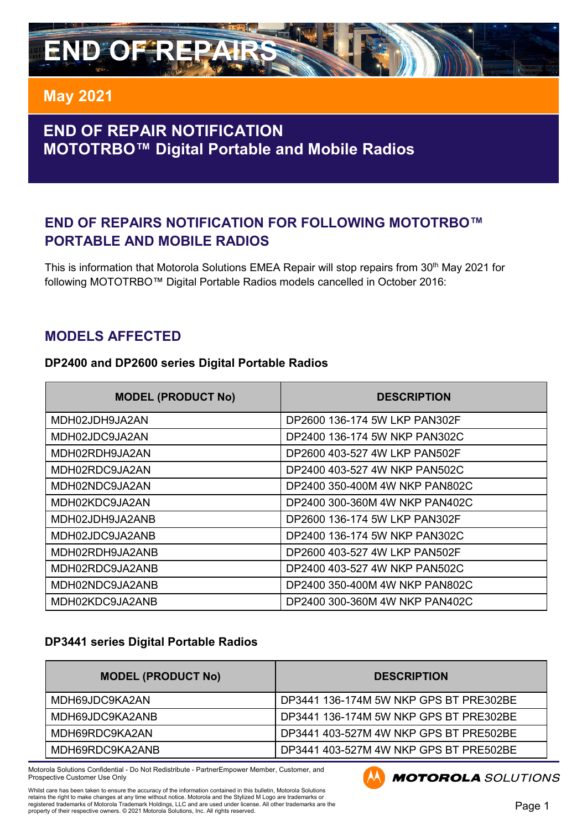

# **END OF REPAIR NOTIFICATION MOTOTRBO™ Digital Portable and Mobile Radios**

### **END OF REPAIRS NOTIFICATION FOR FOLLOWING MOTOTRBO™ PORTABLE AND MOBILE RADIOS**

This is information that Motorola Solutions EMEA Repair will stop repairs from 30<sup>th</sup> May 2021 for following MOTOTRBO™ Digital Portable Radios models cancelled in October 2016:

#### **MODELS AFFECTED**

#### **DP2400 and DP2600 series Digital Portable Radios**

| <b>MODEL (PRODUCT No)</b> | <b>DESCRIPTION</b>             |
|---------------------------|--------------------------------|
| MDH02JDH9JA2AN            | DP2600 136-174 5W LKP PAN302F  |
| MDH02JDC9JA2AN            | DP2400 136-174 5W NKP PAN302C  |
| MDH02RDH9JA2AN            | DP2600 403-527 4W LKP PAN502F  |
| MDH02RDC9JA2AN            | DP2400 403-527 4W NKP PAN502C  |
| MDH02NDC9JA2AN            | DP2400 350-400M 4W NKP PAN802C |
| MDH02KDC9JA2AN            | DP2400 300-360M 4W NKP PAN402C |
| MDH02JDH9JA2ANB           | DP2600 136-174 5W LKP PAN302F  |
| MDH02JDC9JA2ANB           | DP2400 136-174 5W NKP PAN302C  |
| MDH02RDH9JA2ANB           | DP2600 403-527 4W LKP PAN502F  |
| MDH02RDC9JA2ANB           | DP2400 403-527 4W NKP PAN502C  |
| MDH02NDC9JA2ANB           | DP2400 350-400M 4W NKP PAN802C |
| MDH02KDC9JA2ANB           | DP2400 300-360M 4W NKP PAN402C |

#### **DP3441 series Digital Portable Radios**

| <b>MODEL (PRODUCT No)</b> | <b>DESCRIPTION</b>                     |
|---------------------------|----------------------------------------|
| MDH69JDC9KA2AN            | DP3441 136-174M 5W NKP GPS BT PRE302BE |
| MDH69JDC9KA2ANB           | DP3441 136-174M 5W NKP GPS BT PRE302BE |
| MDH69RDC9KA2AN            | DP3441 403-527M 4W NKP GPS BT PRE502BE |
| MDH69RDC9KA2ANB           | DP3441 403-527M 4W NKP GPS BT PRE502BE |

Motorola Solutions Confidential - Do Not Redistribute - PartnerEmpower Member, Customer, and Prospective Customer Use Only



**MOTOROLA** SOLUTIONS

Whilst care has been taken to ensure the accuracy of the information contained in this bulletin, Motorola Solutions retains the right to make changes at any time without notice. Motorola and the Stylized M Logo are trademarks or<br>registered trademarks of Motorola Trademark Holdings, LLC and are used under license. All other trademarks a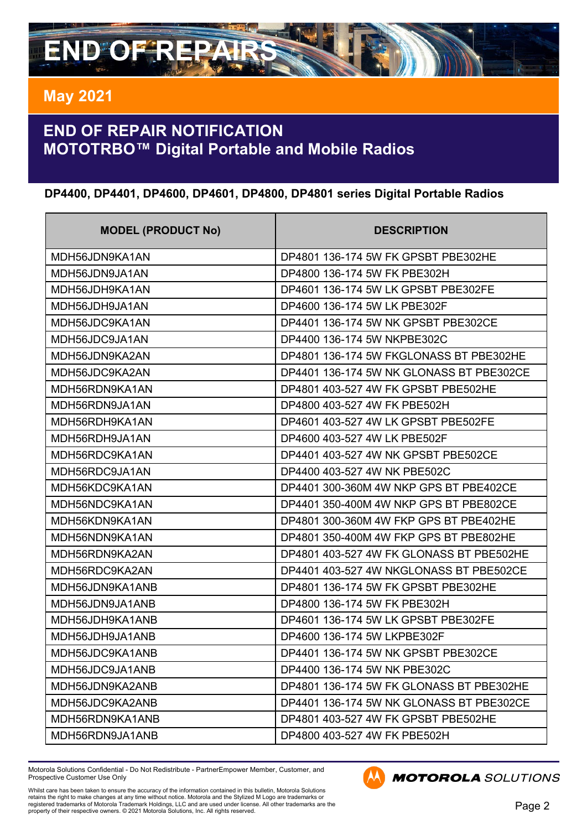

# **END OF REPAIR NOTIFICATION MOTOTRBO™ Digital Portable and Mobile Radios**

#### **DP4400, DP4401, DP4600, DP4601, DP4800, DP4801 series Digital Portable Radios**

| <b>MODEL (PRODUCT No)</b> | <b>DESCRIPTION</b>                       |
|---------------------------|------------------------------------------|
| MDH56JDN9KA1AN            | DP4801 136-174 5W FK GPSBT PBE302HE      |
| MDH56JDN9JA1AN            | DP4800 136-174 5W FK PBE302H             |
| MDH56JDH9KA1AN            | DP4601 136-174 5W LK GPSBT PBE302FE      |
| MDH56JDH9JA1AN            | DP4600 136-174 5W LK PBE302F             |
| MDH56JDC9KA1AN            | DP4401 136-174 5W NK GPSBT PBE302CE      |
| MDH56JDC9JA1AN            | DP4400 136-174 5W NKPBE302C              |
| MDH56JDN9KA2AN            | DP4801 136-174 5W FKGLONASS BT PBE302HE  |
| MDH56JDC9KA2AN            | DP4401 136-174 5W NK GLONASS BT PBE302CE |
| MDH56RDN9KA1AN            | DP4801 403-527 4W FK GPSBT PBE502HE      |
| MDH56RDN9JA1AN            | DP4800 403-527 4W FK PBE502H             |
| MDH56RDH9KA1AN            | DP4601 403-527 4W LK GPSBT PBE502FE      |
| MDH56RDH9JA1AN            | DP4600 403-527 4W LK PBE502F             |
| MDH56RDC9KA1AN            | DP4401 403-527 4W NK GPSBT PBE502CE      |
| MDH56RDC9JA1AN            | DP4400 403-527 4W NK PBE502C             |
| MDH56KDC9KA1AN            | DP4401 300-360M 4W NKP GPS BT PBE402CE   |
| MDH56NDC9KA1AN            | DP4401 350-400M 4W NKP GPS BT PBE802CE   |
| MDH56KDN9KA1AN            | DP4801 300-360M 4W FKP GPS BT PBE402HE   |
| MDH56NDN9KA1AN            | DP4801 350-400M 4W FKP GPS BT PBE802HE   |
| MDH56RDN9KA2AN            | DP4801 403-527 4W FK GLONASS BT PBE502HE |
| MDH56RDC9KA2AN            | DP4401 403-527 4W NKGLONASS BT PBE502CE  |
| MDH56JDN9KA1ANB           | DP4801 136-174 5W FK GPSBT PBE302HE      |
| MDH56JDN9JA1ANB           | DP4800 136-174 5W FK PBE302H             |
| MDH56JDH9KA1ANB           | DP4601 136-174 5W LK GPSBT PBE302FE      |
| MDH56JDH9JA1ANB           | DP4600 136-174 5W LKPBE302F              |
| MDH56JDC9KA1ANB           | DP4401 136-174 5W NK GPSBT PBE302CE      |
| MDH56JDC9JA1ANB           | DP4400 136-174 5W NK PBE302C             |
| MDH56JDN9KA2ANB           | DP4801 136-174 5W FK GLONASS BT PBE302HE |
| MDH56JDC9KA2ANB           | DP4401 136-174 5W NK GLONASS BT PBE302CE |
| MDH56RDN9KA1ANB           | DP4801 403-527 4W FK GPSBT PBE502HE      |
| MDH56RDN9JA1ANB           | DP4800 403-527 4W FK PBE502H             |

Motorola Solutions Confidential - Do Not Redistribute - PartnerEmpower Member, Customer, and Prospective Customer Use Only



**MOTOROLA** SOLUTIONS

Whilst care has been taken to ensure the accuracy of the information contained in this bulletin, Motorola Solutions<br>retains the right to make changes at any time without notice. Motorola and the Stylized M Logo are tradema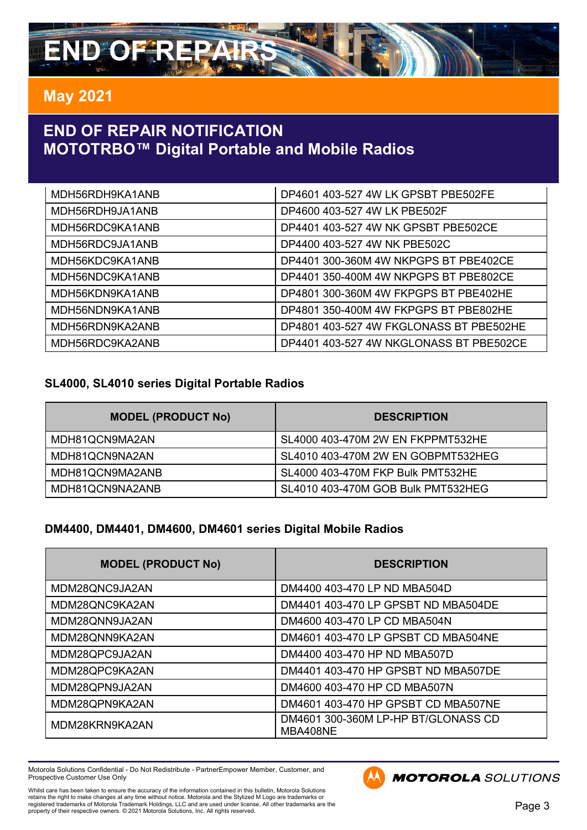

# **END OF REPAIR NOTIFICATION MOTOTRBO™ Digital Portable and Mobile Radios**

| MDH56RDH9KA1ANB | DP4601 403-527 4W LK GPSBT PBE502FE     |
|-----------------|-----------------------------------------|
| MDH56RDH9JA1ANB | DP4600 403-527 4W LK PBE502F            |
| MDH56RDC9KA1ANB | DP4401 403-527 4W NK GPSBT PBE502CE     |
| MDH56RDC9JA1ANB | DP4400 403-527 4W NK PBE502C            |
| MDH56KDC9KA1ANB | DP4401 300-360M 4W NKPGPS BT PBE402CE   |
| MDH56NDC9KA1ANB | DP4401 350-400M 4W NKPGPS BT PBE802CE   |
| MDH56KDN9KA1ANB | DP4801 300-360M 4W FKPGPS BT PBE402HE   |
| MDH56NDN9KA1ANB | DP4801 350-400M 4W FKPGPS BT PBE802HE   |
| MDH56RDN9KA2ANB | DP4801 403-527 4W FKGLONASS BT PBE502HE |
| MDH56RDC9KA2ANB | DP4401 403-527 4W NKGLONASS BT PBE502CE |

#### **SL4000, SL4010 series Digital Portable Radios**

| <b>MODEL (PRODUCT No)</b> | <b>DESCRIPTION</b>                 |
|---------------------------|------------------------------------|
| MDH81QCN9MA2AN            | SL4000 403-470M 2W EN FKPPMT532HE  |
| MDH81QCN9NA2AN            | SL4010 403-470M 2W EN GOBPMT532HEG |
| MDH81QCN9MA2ANB           | SL4000 403-470M FKP Bulk PMT532HE  |
| MDH81QCN9NA2ANB           | SL4010 403-470M GOB Bulk PMT532HEG |

#### **DM4400, DM4401, DM4600, DM4601 series Digital Mobile Radios**

| <b>MODEL (PRODUCT No)</b> | <b>DESCRIPTION</b>                              |
|---------------------------|-------------------------------------------------|
| MDM28QNC9JA2AN            | DM4400 403-470 LP ND MBA504D                    |
| MDM28QNC9KA2AN            | DM4401 403-470 LP GPSBT ND MBA504DE             |
| MDM28QNN9JA2AN            | DM4600 403-470 LP CD MBA504N                    |
| MDM28QNN9KA2AN            | DM4601 403-470 LP GPSBT CD MBA504NE             |
| MDM28QPC9JA2AN            | DM4400 403-470 HP ND MBA507D                    |
| MDM28QPC9KA2AN            | DM4401 403-470 HP GPSBT ND MBA507DE             |
| MDM28QPN9JA2AN            | DM4600 403-470 HP CD MBA507N                    |
| MDM28QPN9KA2AN            | DM4601 403-470 HP GPSBT CD MBA507NE             |
| MDM28KRN9KA2AN            | DM4601 300-360M LP-HP BT/GLONASS CD<br>MBA408NE |

Motorola Solutions Confidential - Do Not Redistribute - PartnerEmpower Member, Customer, and Prospective Customer Use Only

Whilst care has been taken to ensure the accuracy of the information contained in this bulletin, Motorola Solutions<br>retains the right to make changes at any time without notice. Motorola and the Stylized M Logo are tradema



**MOTOROLA** SOLUTIONS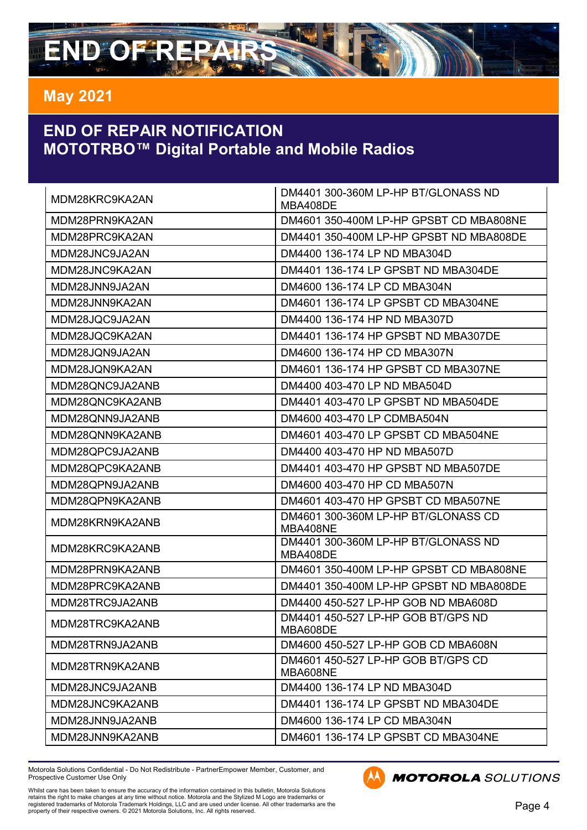# **END OF REPAIRS**

# **May 2021**

# **END OF REPAIR NOTIFICATION MOTOTRBO™ Digital Portable and Mobile Radios**

| MDM28KRC9KA2AN  | DM4401 300-360M LP-HP BT/GLONASS ND<br>MBA408DE |
|-----------------|-------------------------------------------------|
| MDM28PRN9KA2AN  | DM4601 350-400M LP-HP GPSBT CD MBA808NE         |
| MDM28PRC9KA2AN  | DM4401 350-400M LP-HP GPSBT ND MBA808DE         |
| MDM28JNC9JA2AN  | DM4400 136-174 LP ND MBA304D                    |
| MDM28JNC9KA2AN  | DM4401 136-174 LP GPSBT ND MBA304DE             |
| MDM28JNN9JA2AN  | DM4600 136-174 LP CD MBA304N                    |
| MDM28JNN9KA2AN  | DM4601 136-174 LP GPSBT CD MBA304NE             |
| MDM28JQC9JA2AN  | DM4400 136-174 HP ND MBA307D                    |
| MDM28JQC9KA2AN  | DM4401 136-174 HP GPSBT ND MBA307DE             |
| MDM28JQN9JA2AN  | DM4600 136-174 HP CD MBA307N                    |
| MDM28JQN9KA2AN  | DM4601 136-174 HP GPSBT CD MBA307NE             |
| MDM28QNC9JA2ANB | DM4400 403-470 LP ND MBA504D                    |
| MDM28QNC9KA2ANB | DM4401 403-470 LP GPSBT ND MBA504DE             |
| MDM28QNN9JA2ANB | DM4600 403-470 LP CDMBA504N                     |
| MDM28QNN9KA2ANB | DM4601 403-470 LP GPSBT CD MBA504NE             |
| MDM28QPC9JA2ANB | DM4400 403-470 HP ND MBA507D                    |
| MDM28QPC9KA2ANB | DM4401 403-470 HP GPSBT ND MBA507DE             |
| MDM28QPN9JA2ANB | DM4600 403-470 HP CD MBA507N                    |
| MDM28QPN9KA2ANB | DM4601 403-470 HP GPSBT CD MBA507NE             |
| MDM28KRN9KA2ANB | DM4601 300-360M LP-HP BT/GLONASS CD<br>MBA408NE |
| MDM28KRC9KA2ANB | DM4401 300-360M LP-HP BT/GLONASS ND<br>MBA408DE |
| MDM28PRN9KA2ANB | DM4601 350-400M LP-HP GPSBT CD MBA808NE         |
| MDM28PRC9KA2ANB | DM4401 350-400M LP-HP GPSBT ND MBA808DE         |
| MDM28TRC9JA2ANB | DM4400 450-527 LP-HP GOB ND MBA608D             |
| MDM28TRC9KA2ANB | DM4401 450-527 LP-HP GOB BT/GPS ND<br>MBA608DE  |
| MDM28TRN9JA2ANB | DM4600 450-527 LP-HP GOB CD MBA608N             |
| MDM28TRN9KA2ANB | DM4601 450-527 LP-HP GOB BT/GPS CD<br>MBA608NE  |
| MDM28JNC9JA2ANB | DM4400 136-174 LP ND MBA304D                    |
| MDM28JNC9KA2ANB | DM4401 136-174 LP GPSBT ND MBA304DE             |
| MDM28JNN9JA2ANB | DM4600 136-174 LP CD MBA304N                    |
| MDM28JNN9KA2ANB | DM4601 136-174 LP GPSBT CD MBA304NE             |

Motorola Solutions Confidential - Do Not Redistribute - PartnerEmpower Member, Customer, and Prospective Customer Use Only

**MOTOROLA** SOLUTIONS

Whilst care has been taken to ensure the accuracy of the information contained in this bulletin, Motorola Solutions<br>retains the right to make changes at any time without notice. Motorola and the Stylized M Logo are tradema